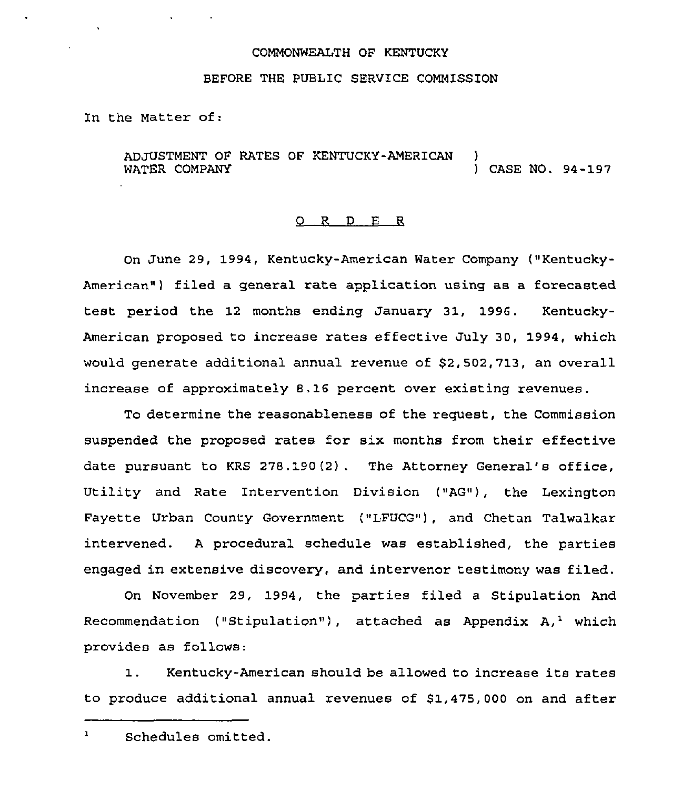#### COMMONWEALTH OF KENTUCKY

#### BEFORE THE PUBLIC SERVICE COMMISSION

In the Matter of:

ADJUSTMENT OF RATES OF KENTUCKY-AMERICAN<br>WATER COMPANY ) CASE NO. 94-197

## O R D E R

On June 29, 1994, Kentucky-American Water Company ("Kentucky-American") filed a general rate application using as a forecasted test period the 12 months ending January 31, 1996. Kentucky-American proposed to increase rates effective July 30, 1994, which would generate additional annual revenue of \$2,502,713, an overall increase of approximately 8.16 percent over existing revenues.

To determine the reasonableness of the request, the Commission suspended the proposed rates for six months from their effective date pursuant to KRS 278.190(2) . The Attorney General's office, Utility and Rate Intervention Division ("AG"), the Lexington Fayette Urban County Government ("LFUCG"), and Chetan Talwalkar intervened. <sup>A</sup> procedural schedule was established, the parties engaged in extensive discovery, and intervenor testimony was filed.

On November 29, 1994, the parties filed a Stipulation And Recommendation ("Stipulation"), attached as Appendix  $A,$ <sup>1</sup> which provides as follows:

1. Kentucky-American should be allowed to increase its rates to produce additional annual revenues of 81,475,000 on and after

 $\mathbf{1}$ Schedules omitted.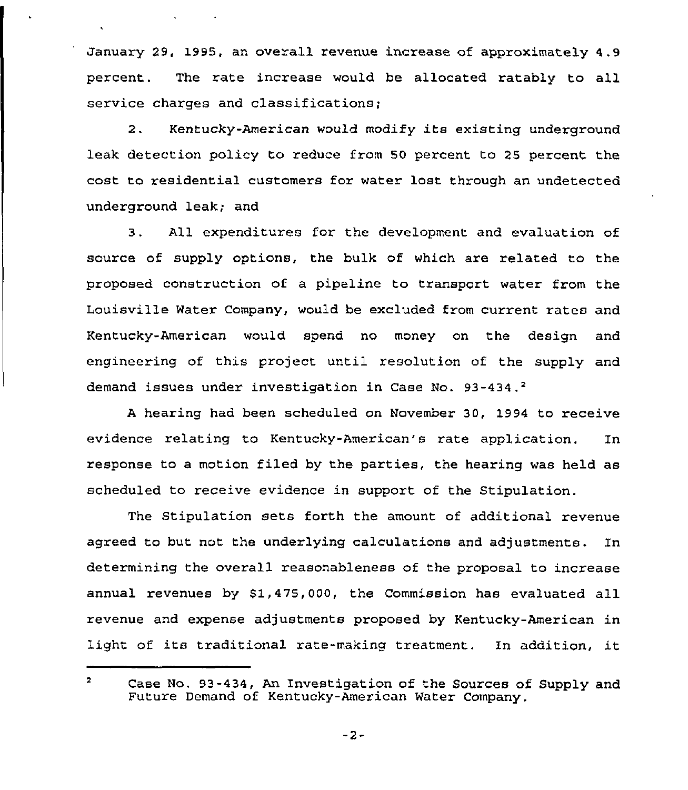January 29, 1995, an overall revenue increase of approximately 4,9 percent. The rate increase would be allocated ratably to all service charges and classifications;

 $\mathbf{v} = \mathbf{v} \times \mathbf{v}$  . The  $\mathbf{v}$ 

2. Kentucky-American would modify its existing underground leak detection policy to reduce from 50 percent to 25 percent the cost to residential customers for water lost through an undetected underground leak; and

3. All expenditures for the development and evaluation of source of supply options, the bulk of which are related to the proposed construction of a pipeline to transport water from the Louisville Water Company, would be excluded from current rates and Kentucky-American would spend no money on the design and engineering of this project until resolution of the supply and demand issues under investigation in Case No. 93-434.'

hearing had been scheduled on November 30, 1994 to receive evidence relating to Kentucky-American's rate application. In response to a motion filed by the parties, the hearing was held as scheduled to receive evidence in support of the Stipulation.

The Stipulation sets forth the amount of additional revenue agreed to but not the underlying calculations and adjustments. In determining the overall reasonableness of the proposal to increase annual revenues by 51,475,000, the Commission has evaluated all revenue and expense adjustments proposed by Kentucky-American in light of its traditional rate-making treatment. In addition, it

 $\overline{\mathbf{z}}$ Case No. 93-434, An Investigation of the Sources of Supply and Future Demand of Kentucky-American Water Company.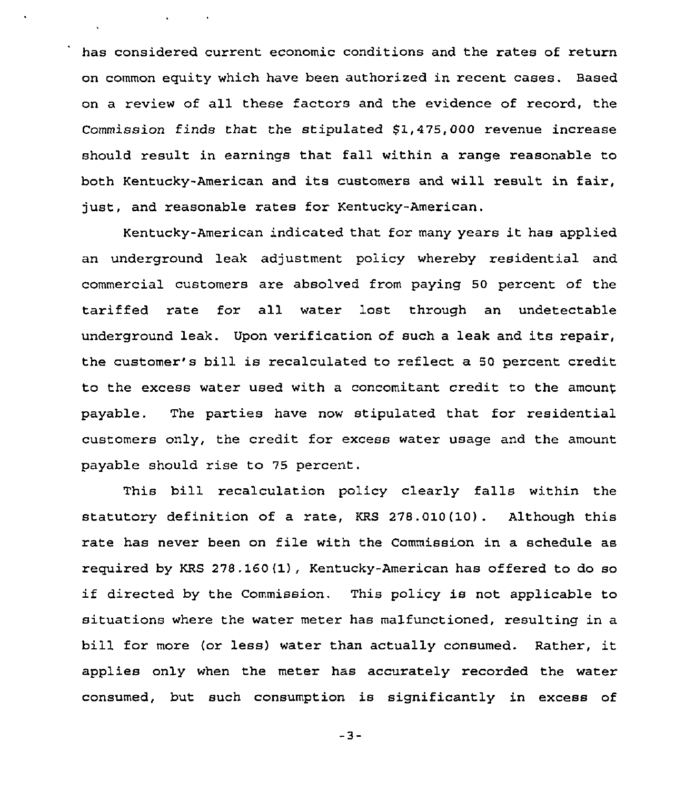has considered current economic conditions and the rates of return on common equity which have been authorized in recent cases. Based on a review of all these factors and the evidence of record, the Commission finds that the stipulated 51,475,000 revenue increase should result in earnings that fall within a range reasonable to both Kentucky-American and its customers and will result in fair, just, and reasonable rates for Kentucky-American.

 $\mathbf{v} = \mathbf{v} \times \mathbf{v}$  , where

Kentucky-American indicated that for many years it has applied an underground leak adjustment policy whereby residential and commercial customers are absolved from paying 50 percent of the tariffed rate for all water lost through an undetectable underground leak. Upon verification of such <sup>a</sup> leak and its repair, the customer's bill is recalculated to reflect a 50 percent credit to the excess water used with a concomitant credit to the amount payable. The parties have now stipulated that for residential customers only, the credit for excess water usage and the amount payable should rise to 75 percent.

This bill recalculation policy clearly falls within the statutory definition of a rate, KRS 2'78.010(10). Although this rate has never been on file with the Commission in a schedule as required by KRS 278.160 $(1)$ , Kentucky-American has offered to do so if directed by the Commission. This policy is not applicable to situations where the water meter has malfunctioned, resulting in a bill for more (or less) water than actually consumed. Rather, it applies only when the meter has accurately recorded the water consumed, but such consumption is significantly in excess of

 $-3-$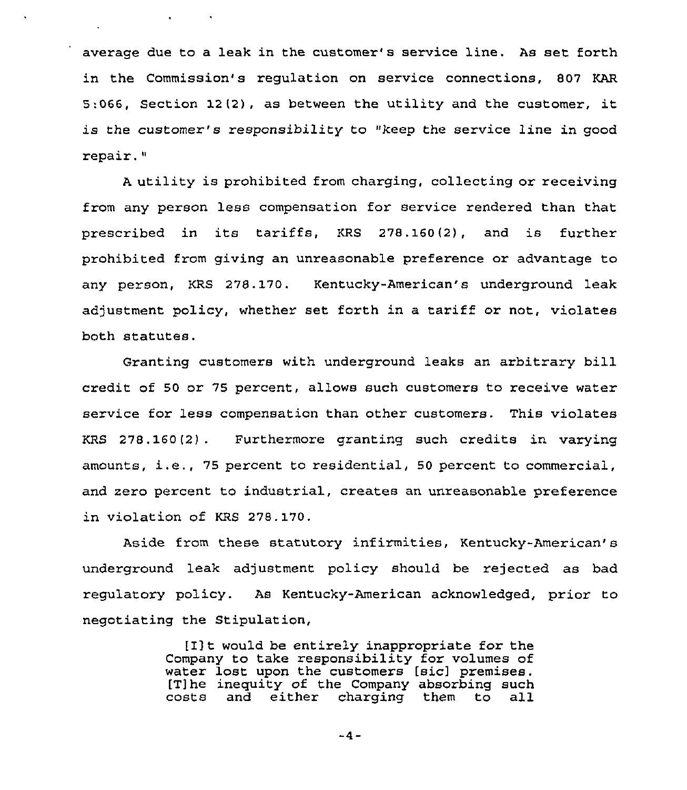average due to a leak in the customer's service line. As set forth in the Commission's regulation on service connections, 807 KAR 5:066, Section 12(2), as between the utility and the customer, it is the customer's responsibility to "keep the service line in good repair."

 $\mathbf{q} = \mathbf{q} \times \mathbf{q}$  , where  $\mathbf{q}$ 

<sup>A</sup> utility is prohibited from charging, collecting or receiving from any person less compensation for service rendered than that prescribed in its tariffs, KRS 278.160(2), and is further prohibited from giving an unreasonable preference or advantage to any person, KRS 278. 170. Kentucky-American's underground leak adjustment policy, whether set forth in <sup>a</sup> tariff or not, violates both statutes.

Granting customers with underground leaks an arbitrary bill credit of 50 or 75 percent, allows such customers to receive water service for less compensation than other customers. This violates KRS 278.160(2) . Furthermore granting such credits in varying amounts, i.e., <sup>75</sup> percent to residential, <sup>50</sup> percent to commercial, and zero percent to industrial, creates an unreasonable preference in violation of KRS 278.170.

Aside from these statutory infirmities, Kentucky-American' underground leak adjustment policy should be rejected as bad regulatory policy. As Kentucky-American acknowledged, prior to negotiating the Stipulation,

> [I]t would be entirely inappropriate for the Company to take responsibility for volumes of water lost upon the customers [sic] premises. [T]he inequity of the Company absorbing such<br>costs and either charging them to all and either charging them to

> > $-4-$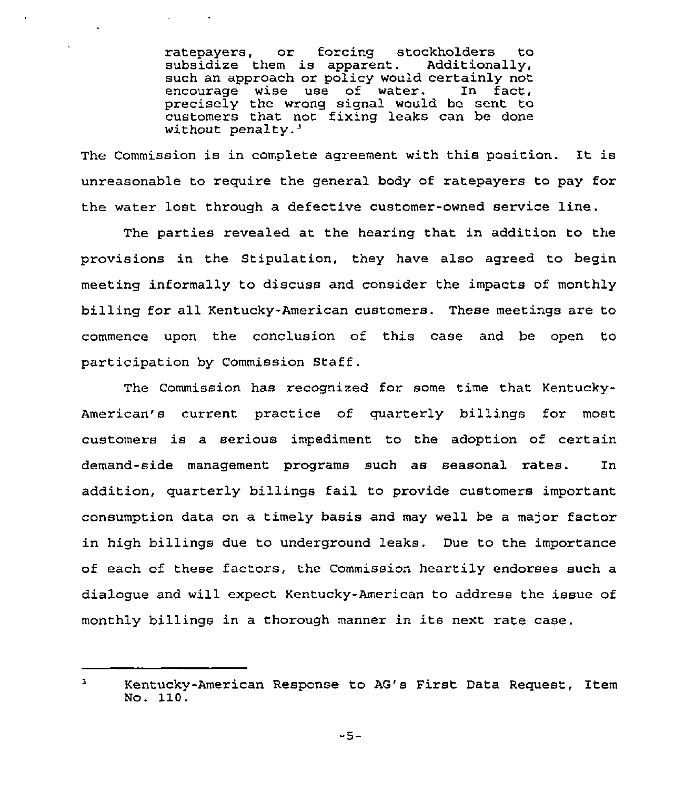ratepayers, or forcing stockholders to<br>subsidize them is apparent. Additionally, subsidize them is apparent. such an approach or policy would certainly not<br>encourage wise use of water. In fact, encourage wise use of water. precisely the wrong signal would be sent to customers that not fixing leaks can be done without penalty. $3$ 

 $\sim$   $\sim$ 

The Commission is in complete agreement with this position. It is unreasonable to require the general body of ratepayers to pay for the water lost through a defective customer-owned service line.

The parties revealed at the hearing that in addition to the provisions in the Stipulation, they have also agreed to begin meeting informally to discuss and consider the impacts of monthly billing for all Kentucky-American customers. These meetings are to commence upon the conclusion of this case and be open to participation by Commission Staff .

The Commission has recognized for some time that Kentucky-American's current practice of quarterly billings for most customers is a serious impediment to the adoption of certain demand-side management programs such as seasonal rates. In addition, quarterly billings fail to provide customers important consumption data on a timely basis and may well be a major factor in high billings due to underground leaks. Due to the importance of each of these factors, the Commission heartily endorses such a dialogue and will expect Kentucky-American to address the issue of monthly billings in a thorough manner in its next rate case.

 $-5-$ 

 $\overline{\mathbf{3}}$ Kentucky-American Response to AG's First Data Request, Item No. 110.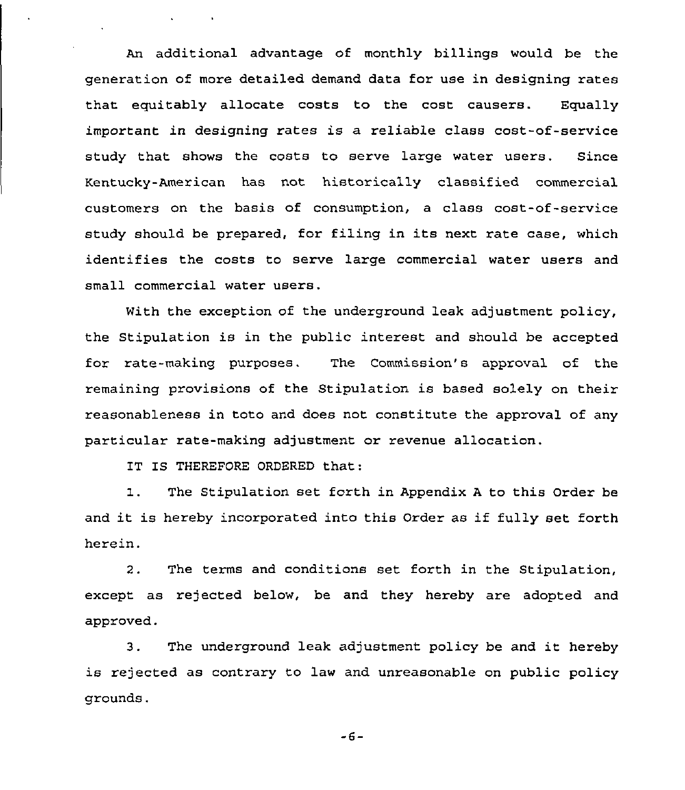An additional advantage of monthly billings would be the generation of more detailed demand data for use in designing rates that equitably allocate costs to the cost causers. Equally important in designing rates is a reliable class cost-of-service study that shows the costs to serve large water users. Since Kentucky-American has not historically classified commercial customers on the basis of consumption, a class cost-of-service study should be prepared, for filing in its next rate case, which identifies the costs to serve large commercial water users and small commercial water users.

With the exception of the underground leak adjustment policy, the Stipulation is in the public interest and should be accepted for rate-making purposes. The Commission's approval of the remaining provisions of the Stipulation is based solely on their reasonableness in toto and does not constitute the approval of any particular rate-making adjustment or revenue allocation.

IT IS THEREFORE ORDERED that:

1. The Stipulation set forth in Appendix <sup>A</sup> to this Order be and it is hereby incorporated into this Order as if fully set forth herein.

2. The terms and conditions set forth in the Stipulation, except as rejected below, be and they hereby are adopted and approved.

3. The underground leak adjustment policy be and it hereby is rejected as contrary to law and unreasonable on public policy grounds.

 $-6-$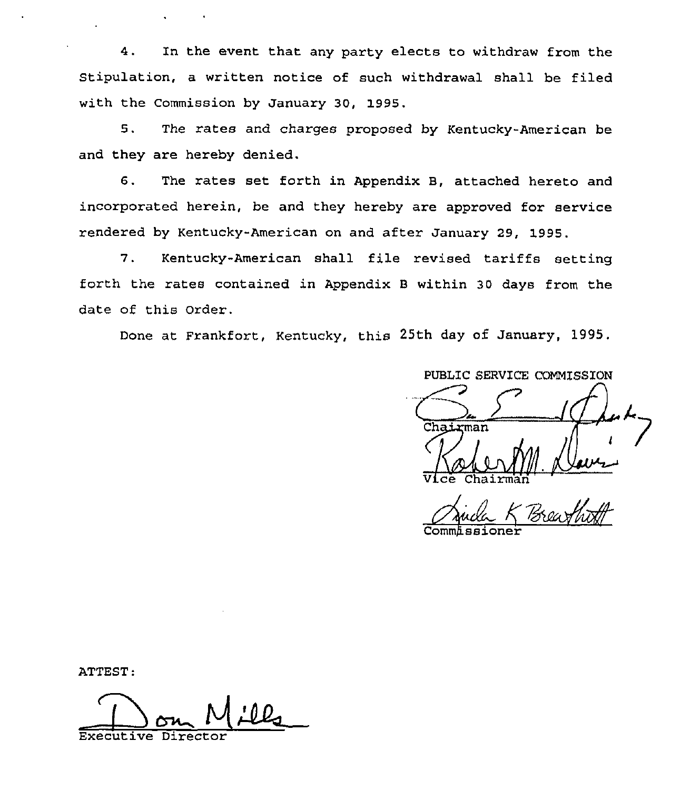4. In the event that any party elects to withdraw from the Stipulation, a written notice of such withdrawal shall be filed with the Commission by January 30, 1995.

5. The rates and charges proposed by Kentucky-American be and they are hereby denied.

6. The rates set forth in Appendix B, attached hereto and incorporated herein, be and they hereby are approved for service rendered by Kentucky-American on and after January 29, 1995.

7. Kentucky-American shall file revised tariffs setting forth the rates contained in Appendix <sup>B</sup> within 30 days from the date of this Order.

Done at Frankfort, Kentucky, this 25th day of January, 1995,

PUBLIC SERVICE COMMISSION

Commissione

ATTEST:

Executive Director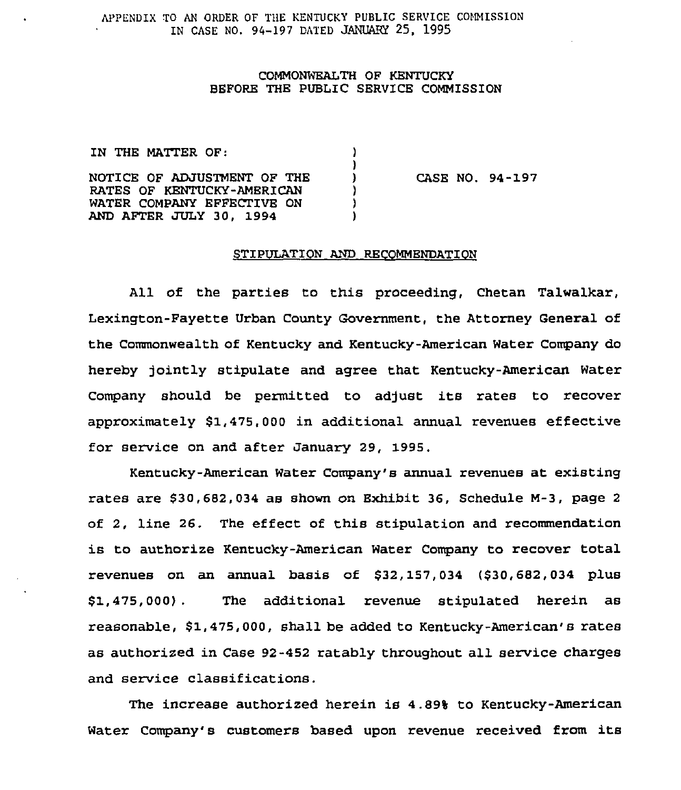APPENDIX TO AN ORDER OF THE KENTUCKY PUBLIC SERVICE COMMISSION IN CASE NO. 94-197 DATED JANUARY 25, 1995

## COMMONWEALTH OF KENTUCKY BEFORE THE PUBLIC SERVICE COMMISSION

| CASE N |
|--------|
|        |
|        |
|        |
|        |

 $0.94 - 197$ 

## STIPULATION AND RECOMMENDATION

All of the parties to this proceeding, Chetan Talwalkar, Lexington-Fayette Urban County Government, the Attorney General of the Commonwealth of Kentucky and Kentucky-American Water Company do hereby jointly stipulate and agree that Kentucky-American Water Company should be permitted to adjust its rates to recover approximately \$1,475,000 in additional annual revenues effective for service on and after January 29, 1995.

Kentucky-American Water Company's annual revenues at existing rates are \$30,682,034 as shown on Bxhibit 36, Schedule M-3, page <sup>2</sup> of 2, line 26. The effect of this stipulation and recommendation is to authorize Kentucky-American Water Company to recover total revenues on an annual basis of \$32,157,034 (\$30,682,034 plus \$1,475, 000) . The additional revenue stipulated herein as reasonable, \$1,475,000, shall be added to Kentucky-American's rates as authorized in Case 92-452 ratably throughout all service charges and service classifications.

The increase authorized herein is 4.89% to Kentucky-American Water Company's customers based upon revenue received from its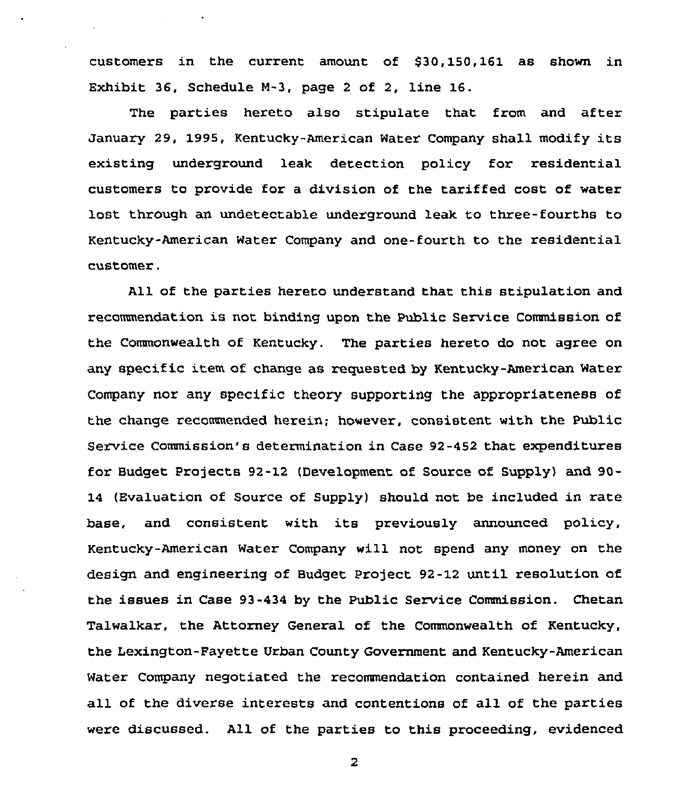customers in the current amount of 530,150,161 as shown in Exhibit 36, Schedule N-3, page <sup>2</sup> of 2, line 16.

The parties hereto also stipulate that from and after January 29, 1995, Kentucky-American Water Company shall modify its existing underground leak detection policy for residential customers to provide for a division of the tariffed cost of water lost through an undetectable underground leak to three-fourths to Kentucky-American Water Company and one-fourth to the residential customer.

All of the parties hereto understand that this stipulation and recommendation is not binding upon the Public Service Commission of the Commonwealth of Kentucky. The parties hereto do not agree on any specific item of change as requested by Kentucky-American Water Company nor any specific theory supporting the appropriateness of the change recommended herein; however, consistent with the Public Service Commission's determination in Case 92-452 that expenditures for Budget Projects 92-12 (Development of Source of Supply) and 90-14 (Evaluation of Source of Supply) should not be included in rate base, and consistent with its previously announced policy, Kentucky-American Water Company will not spend any money on the design and engineering of Budget project 92-12 until resolution of the issues in Case 93-434 by the Public Service Commission. Chetan Talwalkar, the Attorney General of the Commonwealth of Kentucky, the Lexington-Fayette Urban County Government and Kentucky-American Water Company negotiated the recommendation contained herein and all of the diverse interests and contentions of all of the parties were discussed. All of the parties to this proceeding, evidenced

 $\overline{z}$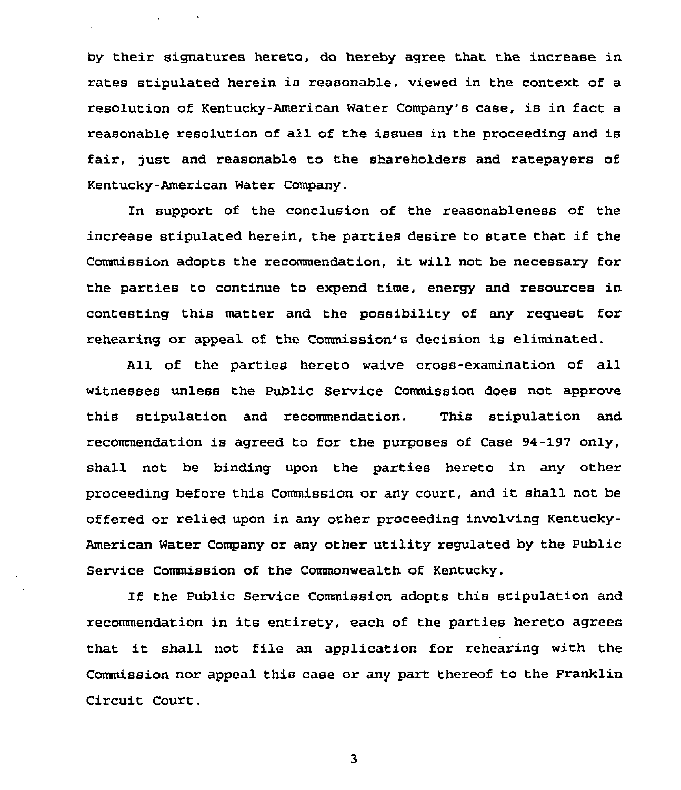by their signatures hereto, do hereby agree that the increase in rates stipulated herein is reasonable, viewed in the context of a resolution of Kentucky-American Water Company's case, is in fact a reasonable resolution of all of the issues in the proceeding and is fair, just and reasonable to the shareholders and ratepayers of Kentucky-American Water Company.

 $\Delta \phi = 0.000$  .

In support of the conclusion of the reasonableness of the increase stipulated herein, the parties desire to state that if the Commission adopts the recommendation, it will not be necessary for the parties to continue to expend time, energy and resources in contesting this matter and the possibility of any request for rehearing or appeal of the Commission's decision is eliminated.

All of the parties hereto waive cross-examination of all witnesses unless the Public Service Commission does not approve this stipulation and recommendation. This stipulation and recommendation is agreed to for the purposes of Case 94-197 only, shall not be binding upon the parties hereto in any other proceeding before this Commission or any court, and it shall not be offered or relied upon in any other proceeding involving Kentucky-American Water Company or any other utility regulated by the Public Service Commission of the Commonwealth of Kentucky.

If the Public Service Commission adopts this stipulation and recommendation in its entirety, each of the parties hereto agrees that it shall not file an application for rehearing with the Commission nor appeal this case or any part thereof to the Pranklin Circuit Court.

3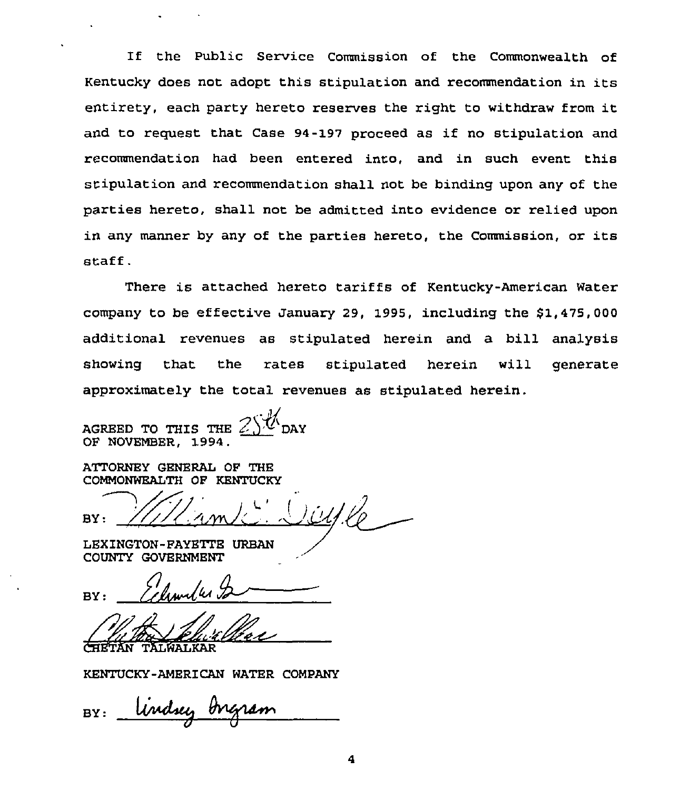If the Public Service Commission of the Commonwealth of Kentucky does not adopt this stipulation and recommendation in its entirety, each party hereto reserves the right to withdraw from it and to request that Case 94-197 proceed as if no stipulation and recommendation had been entered into, and in such event this stipulation and recommendation shall not be binding upon any of the parties hereto, shall not be admitted into evidence or relied upon in any manner by any of the parties hereto, the Commission, or its staff.

There is attached hereto tariffs of Kentucky-American Water company to be effective January 29, 1995, including the  $$1,475,000$ additional revenues as stipulated herein and a bill analysis showing that the rates stipulated herein will generat approximately the total revenues as stipulated herein.

AGREED TO THIS THE OF NOVEMBER, 1994.

ATTORNBY GENERAL OF THB COMMONWEALTH OF KENTUCKY

 $BY:$ 

LEXINGTON-FAYBTTB URBAN COUNTY GOVBRNMENT

TALWALKAR

KENTUCKY-AMERICAN WATER COMPANY

Undsey Ingram BY: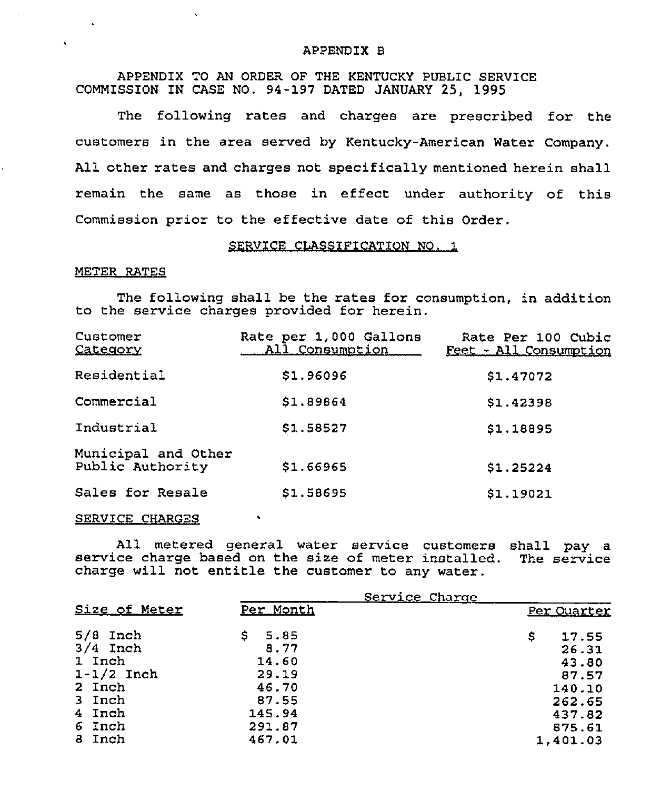#### APPENDIX 8

APPENDIX TO AN ORDER OF THE KENTUCKY PUBLIC SERVICE COMMISSION IN CASE NO. 94-197 DATED JANUARY 25, 1995

The following rates and charges are prescribed for the customers in the area served by Kentucky-American Water Company. All other rates and charges not specifically mentioned herein shall remain the same as those in effect under authority of this Commission prior to the effective date of this Order.

#### SERVICE CLASSIFICATION NO. 1

## METER RATES

The following shall be the rates for consumption, in addition to the service charges provided for herein.

| Customer<br>Category                    | Rate per 1,000 Gallons<br>All Consumption | Rate Per 100 Cubic<br>Feet - All Consumption |
|-----------------------------------------|-------------------------------------------|----------------------------------------------|
| Residential                             | \$1.96096                                 | \$1.47072                                    |
| Commercial                              | \$1.89864                                 | \$1.42398                                    |
| Industrial                              | \$1.58527                                 | \$1.18895                                    |
| Municipal and Other<br>Public Authority | \$1.66965                                 | \$1.25224                                    |
| Sales for Resale                        | \$1.58695                                 | \$1.19021                                    |

#### SERVICE CHARGES

All metered general water service customers shall pay a service charge based on the size of meter installed. The service charge will not entitle the customer to any water.

| \$<br>Per Quarter                                                                    |
|--------------------------------------------------------------------------------------|
|                                                                                      |
| 17.55<br>26.31<br>43.80<br>87.57<br>140.10<br>262.65<br>437.82<br>875.61<br>1,401.03 |
|                                                                                      |